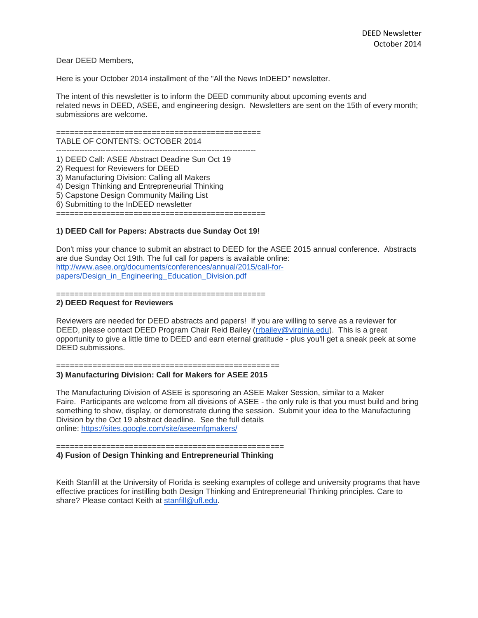Dear DEED Members,

Here is your October 2014 installment of the "All the News InDEED" newsletter.

The intent of this newsletter is to inform the DEED community about upcoming events and related news in DEED, ASEE, and engineering design. Newsletters are sent on the 15th of every month; submissions are welcome.

=============================================

TABLE OF CONTENTS: OCTOBER 2014 -----------------------------------------------------------------------------

1) DEED Call: ASEE Abstract Deadine Sun Oct 19 2) Request for Reviewers for DEED

3) Manufacturing Division: Calling all Makers

4) Design Thinking and Entrepreneurial Thinking

5) Capstone Design Community Mailing List

6) Submitting to the InDEED newsletter

==============================================

### **1) DEED Call for Papers: Abstracts due Sunday Oct 19!**

Don't miss your chance to submit an abstract to DEED for the ASEE 2015 annual conference. Abstracts are due Sunday Oct 19th. The full call for papers is available online: [http://www.asee.org/documents/conferences/annual/2015/call-for](http://www.asee.org/documents/conferences/annual/2015/call-for-papers/Design_in_Engineering_Education_Division.pdf)[papers/Design\\_in\\_Engineering\\_Education\\_Division.pdf](http://www.asee.org/documents/conferences/annual/2015/call-for-papers/Design_in_Engineering_Education_Division.pdf)

==============================================

#### **2) DEED Request for Reviewers**

Reviewers are needed for DEED abstracts and papers! If you are willing to serve as a reviewer for DEED, please contact DEED Program Chair Reid Bailey [\(rrbailey@virginia.edu\)](mailto:rrbailey@virginia.edu). This is a great opportunity to give a little time to DEED and earn eternal gratitude - plus you'll get a sneak peek at some DEED submissions.

=================================================

# **3) Manufacturing Division: Call for Makers for ASEE 2015**

The Manufacturing Division of ASEE is sponsoring an ASEE Maker Session, similar to a Maker Faire. Participants are welcome from all divisions of ASEE - the only rule is that you must build and bring something to show, display, or demonstrate during the session. Submit your idea to the Manufacturing Division by the Oct 19 abstract deadline. See the full details online: <https://sites.google.com/site/aseemfgmakers/>

==================================================

**4) Fusion of Design Thinking and Entrepreneurial Thinking**

Keith Stanfill at the University of Florida is seeking examples of college and university programs that have effective practices for instilling both Design Thinking and Entrepreneurial Thinking principles. Care to share? Please contact Keith at [stanfill@ufl.edu.](mailto:stanfill@ufl.edu)